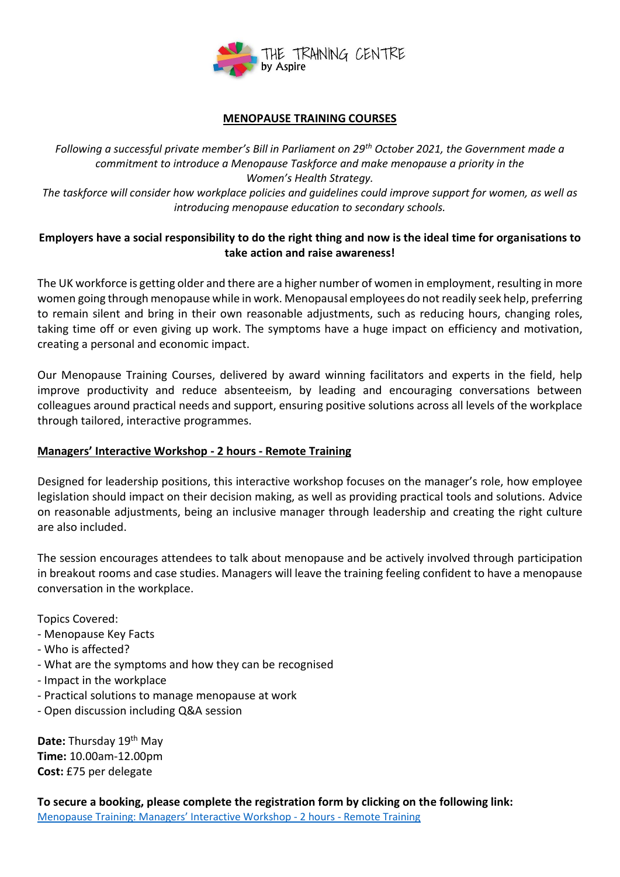

## **MENOPAUSE TRAINING COURSES**

*Following a successful private member's Bill in Parliament on 29th October 2021, the Government made a commitment to introduce a Menopause Taskforce and make menopause a priority in the Women's Health Strategy. The taskforce will consider how workplace policies and guidelines could improve support for women, as well as introducing menopause education to secondary schools.*

## **Employers have a social responsibility to do the right thing and now is the ideal time for organisations to take action and raise awareness!**

The UK workforce is getting older and there are a higher number of women in employment, resulting in more women going through menopause while in work. Menopausal employees do not readily seek help, preferring to remain silent and bring in their own reasonable adjustments, such as reducing hours, changing roles, taking time off or even giving up work. The symptoms have a huge impact on efficiency and motivation, creating a personal and economic impact.

Our Menopause Training Courses, delivered by award winning facilitators and experts in the field, help improve productivity and reduce absenteeism, by leading and encouraging conversations between colleagues around practical needs and support, ensuring positive solutions across all levels of the workplace through tailored, interactive programmes.

## **Managers' Interactive Workshop - 2 hours - Remote Training**

Designed for leadership positions, this interactive workshop focuses on the manager's role, how employee legislation should impact on their decision making, as well as providing practical tools and solutions. Advice on reasonable adjustments, being an inclusive manager through leadership and creating the right culture are also included.

The session encourages attendees to talk about menopause and be actively involved through participation in breakout rooms and case studies. Managers will leave the training feeling confident to have a menopause conversation in the workplace.

Topics Covered:

- Menopause Key Facts
- Who is affected?
- What are the symptoms and how they can be recognised
- Impact in the workplace
- Practical solutions to manage menopause at work
- Open discussion including Q&A session

**Date:** Thursday 19th May **Time:** 10.00am-12.00pm **Cost:** £75 per delegate

**To secure a booking, please complete the registration form by clicking on the following link:** Menopause [Training: Managers' Interactive Workshop](https://forms.office.com/r/CRQf6Pdf0L) - 2 hours - Remote Training